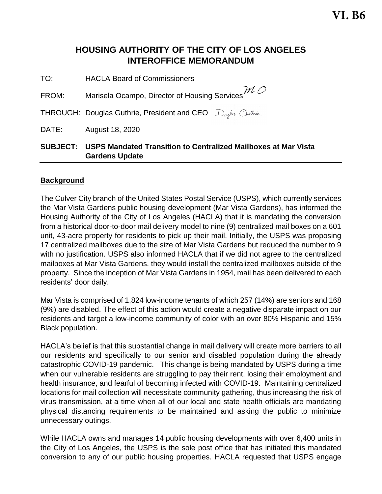**VI. B6**

# **HOUSING AUTHORITY OF THE CITY OF LOS ANGELES INTEROFFICE MEMORANDUM**

TO: HACLA Board of Commissioners

FROM: Marisela Ocampo, Director of Housing Services  ${\mathcal M}$  O

THROUGH: Douglas Guthrie, President and CEO Drugles Chuthnie

DATE: August 18, 2020

## **SUBJECT: USPS Mandated Transition to Centralized Mailboxes at Mar Vista Gardens Update**

#### **Background**

The Culver City branch of the United States Postal Service (USPS), which currently services the Mar Vista Gardens public housing development (Mar Vista Gardens), has informed the Housing Authority of the City of Los Angeles (HACLA) that it is mandating the conversion from a historical door-to-door mail delivery model to nine (9) centralized mail boxes on a 601 unit, 43-acre property for residents to pick up their mail. Initially, the USPS was proposing 17 centralized mailboxes due to the size of Mar Vista Gardens but reduced the number to 9 with no justification. USPS also informed HACLA that if we did not agree to the centralized mailboxes at Mar Vista Gardens, they would install the centralized mailboxes outside of the property. Since the inception of Mar Vista Gardens in 1954, mail has been delivered to each residents' door daily.

Mar Vista is comprised of 1,824 low-income tenants of which 257 (14%) are seniors and 168 (9%) are disabled. The effect of this action would create a negative disparate impact on our residents and target a low-income community of color with an over 80% Hispanic and 15% Black population.

HACLA's belief is that this substantial change in mail delivery will create more barriers to all our residents and specifically to our senior and disabled population during the already catastrophic COVID-19 pandemic. This change is being mandated by USPS during a time when our vulnerable residents are struggling to pay their rent, losing their employment and health insurance, and fearful of becoming infected with COVID-19. Maintaining centralized locations for mail collection will necessitate community gathering, thus increasing the risk of virus transmission, at a time when all of our local and state health officials are mandating physical distancing requirements to be maintained and asking the public to minimize unnecessary outings.

While HACLA owns and manages 14 public housing developments with over 6,400 units in the City of Los Angeles, the USPS is the sole post office that has initiated this mandated conversion to any of our public housing properties. HACLA requested that USPS engage